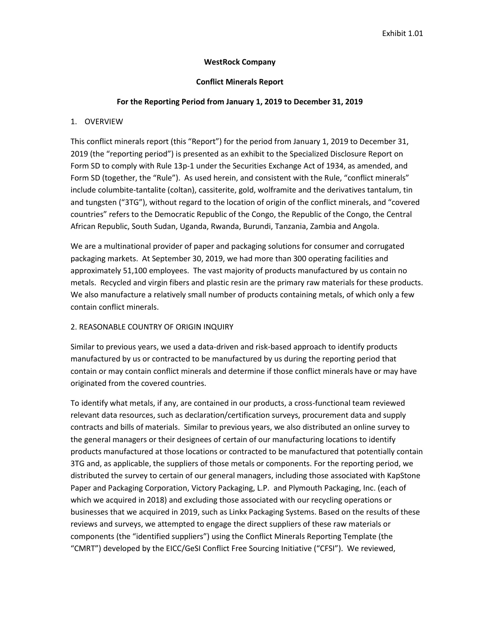## **WestRock Company**

## **Conflict Minerals Report**

# **For the Reporting Period from January 1, 2019 to December 31, 2019**

# 1. OVERVIEW

This conflict minerals report (this "Report") for the period from January 1, 2019 to December 31, 2019 (the "reporting period") is presented as an exhibit to the Specialized Disclosure Report on Form SD to comply with Rule 13p-1 under the Securities Exchange Act of 1934, as amended, and Form SD (together, the "Rule"). As used herein, and consistent with the Rule, "conflict minerals" include columbite-tantalite (coltan), cassiterite, gold, wolframite and the derivatives tantalum, tin and tungsten ("3TG"), without regard to the location of origin of the conflict minerals, and "covered countries" refers to the Democratic Republic of the Congo, the Republic of the Congo, the Central African Republic, South Sudan, Uganda, Rwanda, Burundi, Tanzania, Zambia and Angola.

We are a multinational provider of paper and packaging solutions for consumer and corrugated packaging markets. At September 30, 2019, we had more than 300 operating facilities and approximately 51,100 employees. The vast majority of products manufactured by us contain no metals. Recycled and virgin fibers and plastic resin are the primary raw materials for these products. We also manufacture a relatively small number of products containing metals, of which only a few contain conflict minerals.

# 2. REASONABLE COUNTRY OF ORIGIN INQUIRY

Similar to previous years, we used a data-driven and risk-based approach to identify products manufactured by us or contracted to be manufactured by us during the reporting period that contain or may contain conflict minerals and determine if those conflict minerals have or may have originated from the covered countries.

To identify what metals, if any, are contained in our products, a cross-functional team reviewed relevant data resources, such as declaration/certification surveys, procurement data and supply contracts and bills of materials. Similar to previous years, we also distributed an online survey to the general managers or their designees of certain of our manufacturing locations to identify products manufactured at those locations or contracted to be manufactured that potentially contain 3TG and, as applicable, the suppliers of those metals or components. For the reporting period, we distributed the survey to certain of our general managers, including those associated with KapStone Paper and Packaging Corporation, Victory Packaging, L.P. and Plymouth Packaging, Inc. (each of which we acquired in 2018) and excluding those associated with our recycling operations or businesses that we acquired in 2019, such as Linkx Packaging Systems. Based on the results of these reviews and surveys, we attempted to engage the direct suppliers of these raw materials or components (the "identified suppliers") using the Conflict Minerals Reporting Template (the "CMRT") developed by the EICC/GeSI Conflict Free Sourcing Initiative ("CFSI"). We reviewed,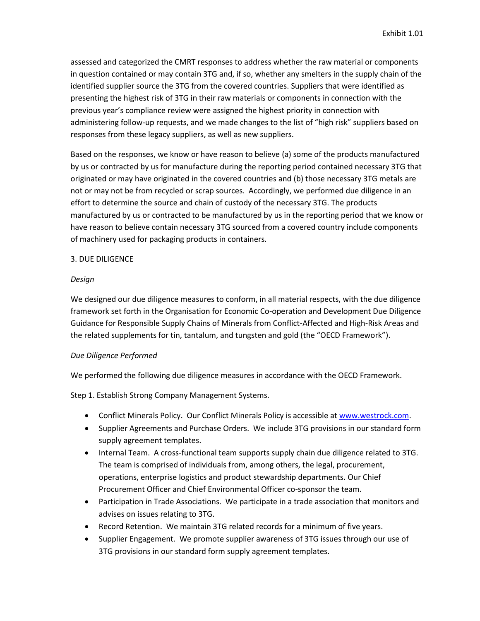assessed and categorized the CMRT responses to address whether the raw material or components in question contained or may contain 3TG and, if so, whether any smelters in the supply chain of the identified supplier source the 3TG from the covered countries. Suppliers that were identified as presenting the highest risk of 3TG in their raw materials or components in connection with the previous year's compliance review were assigned the highest priority in connection with administering follow-up requests, and we made changes to the list of "high risk" suppliers based on responses from these legacy suppliers, as well as new suppliers.

Based on the responses, we know or have reason to believe (a) some of the products manufactured by us or contracted by us for manufacture during the reporting period contained necessary 3TG that originated or may have originated in the covered countries and (b) those necessary 3TG metals are not or may not be from recycled or scrap sources. Accordingly, we performed due diligence in an effort to determine the source and chain of custody of the necessary 3TG. The products manufactured by us or contracted to be manufactured by us in the reporting period that we know or have reason to believe contain necessary 3TG sourced from a covered country include components of machinery used for packaging products in containers.

## 3. DUE DILIGENCE

### *Design*

We designed our due diligence measures to conform, in all material respects, with the due diligence framework set forth in the Organisation for Economic Co-operation and Development Due Diligence Guidance for Responsible Supply Chains of Minerals from Conflict-Affected and High-Risk Areas and the related supplements for tin, tantalum, and tungsten and gold (the "OECD Framework").

## *Due Diligence Performed*

We performed the following due diligence measures in accordance with the OECD Framework.

Step 1. Establish Strong Company Management Systems.

- Conflict Minerals Policy. Our Conflict Minerals Policy is accessible a[t www.westrock.com.](http://www.westrock.com/)
- Supplier Agreements and Purchase Orders. We include 3TG provisions in our standard form supply agreement templates.
- Internal Team. A cross-functional team supports supply chain due diligence related to 3TG. The team is comprised of individuals from, among others, the legal, procurement, operations, enterprise logistics and product stewardship departments. Our Chief Procurement Officer and Chief Environmental Officer co-sponsor the team.
- Participation in Trade Associations. We participate in a trade association that monitors and advises on issues relating to 3TG.
- Record Retention. We maintain 3TG related records for a minimum of five years.
- Supplier Engagement. We promote supplier awareness of 3TG issues through our use of 3TG provisions in our standard form supply agreement templates.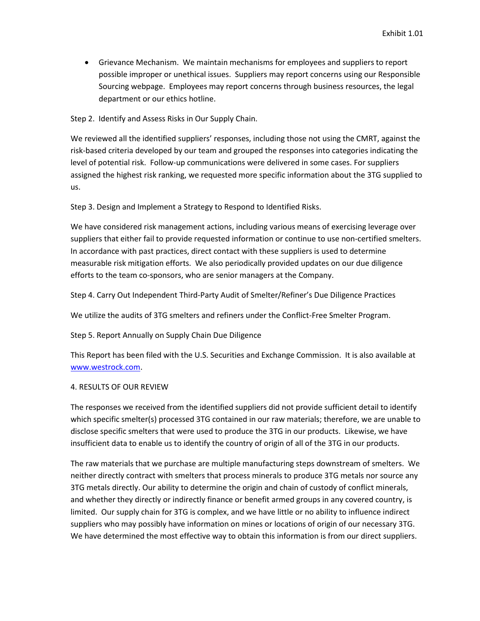• Grievance Mechanism. We maintain mechanisms for employees and suppliers to report possible improper or unethical issues. Suppliers may report concerns using our Responsible Sourcing webpage. Employees may report concerns through business resources, the legal department or our ethics hotline.

Step 2. Identify and Assess Risks in Our Supply Chain.

We reviewed all the identified suppliers' responses, including those not using the CMRT, against the risk-based criteria developed by our team and grouped the responses into categories indicating the level of potential risk. Follow-up communications were delivered in some cases. For suppliers assigned the highest risk ranking, we requested more specific information about the 3TG supplied to us.

Step 3. Design and Implement a Strategy to Respond to Identified Risks.

We have considered risk management actions, including various means of exercising leverage over suppliers that either fail to provide requested information or continue to use non-certified smelters. In accordance with past practices, direct contact with these suppliers is used to determine measurable risk mitigation efforts. We also periodically provided updates on our due diligence efforts to the team co-sponsors, who are senior managers at the Company.

Step 4. Carry Out Independent Third-Party Audit of Smelter/Refiner's Due Diligence Practices

We utilize the audits of 3TG smelters and refiners under the Conflict-Free Smelter Program.

Step 5. Report Annually on Supply Chain Due Diligence

This Report has been filed with the U.S. Securities and Exchange Commission. It is also available at [www.westrock.com.](http://www.westrock.com/)

## 4. RESULTS OF OUR REVIEW

The responses we received from the identified suppliers did not provide sufficient detail to identify which specific smelter(s) processed 3TG contained in our raw materials; therefore, we are unable to disclose specific smelters that were used to produce the 3TG in our products. Likewise, we have insufficient data to enable us to identify the country of origin of all of the 3TG in our products.

The raw materials that we purchase are multiple manufacturing steps downstream of smelters. We neither directly contract with smelters that process minerals to produce 3TG metals nor source any 3TG metals directly. Our ability to determine the origin and chain of custody of conflict minerals, and whether they directly or indirectly finance or benefit armed groups in any covered country, is limited. Our supply chain for 3TG is complex, and we have little or no ability to influence indirect suppliers who may possibly have information on mines or locations of origin of our necessary 3TG. We have determined the most effective way to obtain this information is from our direct suppliers.